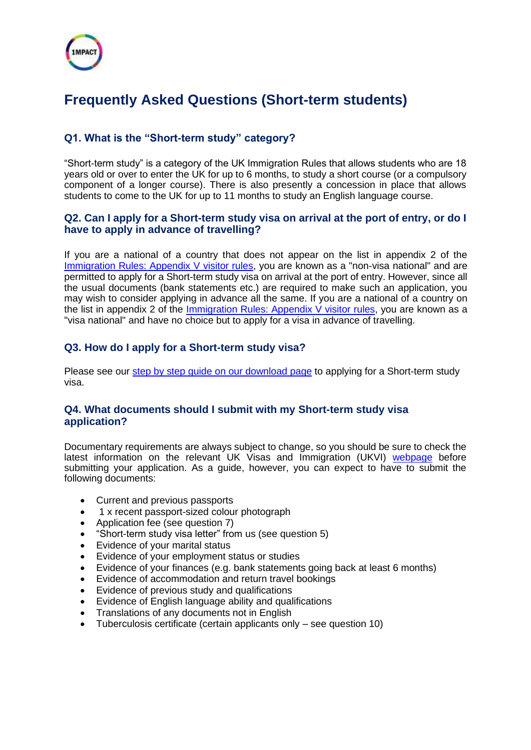

# **Frequently Asked Questions (Short-term students)**

# **Q1. What is the "Short-term study" category?**

"Short-term study" is a category of the UK Immigration Rules that allows students who are 18 years old or over to enter the UK for up to 6 months, to study a short course (or a compulsory component of a longer course). There is also presently a concession in place that allows students to come to the UK for up to 11 months to study an English language course.

## **Q2. Can I apply for a Short-term study visa on arrival at the port of entry, or do I have to apply in advance of travelling?**

If you are a national of a country that does not appear on the list in appendix 2 of the [Immigration Rules: Appendix V visitor rules,](https://www.gov.uk/guidance/immigration-rules) you are known as a "non-visa national" and are permitted to apply for a Short-term study visa on arrival at the port of entry. However, since all the usual documents (bank statements etc.) are required to make such an application, you may wish to consider applying in advance all the same. If you are a national of a country on the list in appendix 2 of the [Immigration Rules: Appendix V visitor rules,](https://www.gov.uk/guidance/immigration-rules) you are known as a "visa national" and have no choice but to apply for a visa in advance of travelling.

# **Q3. How do I apply for a Short-term study visa?**

Please see our step by step guide [on our download page](https://www.innolearnworldwide.com/downloadpage) to applying for a Short-term study visa.

## **Q4. What documents should I submit with my Short-term study visa application?**

Documentary requirements are always subject to change, so you should be sure to check the latest information on the relevant UK Visas and Immigration (UKVI) [webpage](https://www.gov.uk/study-visit-visa/documents-you-must-provide) before submitting your application. As a guide, however, you can expect to have to submit the following documents:

- Current and previous passports
- 1 x recent passport-sized colour photograph
- Application fee (see question 7)
- "Short-term study visa letter" from us (see question 5)
- Evidence of your marital status
- Evidence of your employment status or studies
- Evidence of your finances (e.g. bank statements going back at least 6 months)
- Evidence of accommodation and return travel bookings
- Evidence of previous study and qualifications
- Evidence of English language ability and qualifications
- Translations of any documents not in English
- Tuberculosis certificate (certain applicants only see question 10)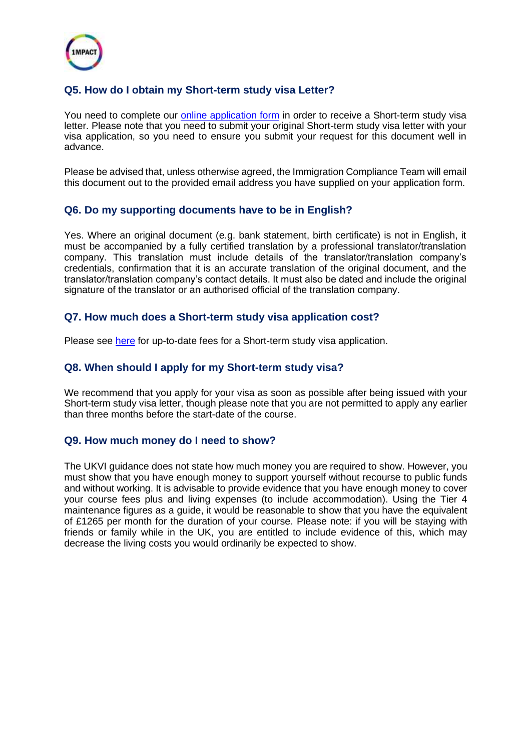

# **Q5. How do I obtain my Short-term study visa Letter?**

You need to complete our [online application form](https://www.formlets.com/forms/WCODxDr71JnUh9m5/) in order to receive a Short-term study visa letter. Please note that you need to submit your original Short-term study visa letter with your visa application, so you need to ensure you submit your request for this document well in advance.

Please be advised that, unless otherwise agreed, the Immigration Compliance Team will email this document out to the provided email address you have supplied on your application form.

## **Q6. Do my supporting documents have to be in English?**

Yes. Where an original document (e.g. bank statement, birth certificate) is not in English, it must be accompanied by a fully certified translation by a professional translator/translation company. This translation must include details of the translator/translation company's credentials, confirmation that it is an accurate translation of the original document, and the translator/translation company's contact details. It must also be dated and include the original signature of the translator or an authorised official of the translation company.

## **Q7. How much does a Short-term study visa application cost?**

Please see [here](https://www.gov.uk/study-visit-visa) for up-to-date fees for a Short-term study visa application.

## **Q8. When should I apply for my Short-term study visa?**

We recommend that you apply for your visa as soon as possible after being issued with your Short-term study visa letter, though please note that you are not permitted to apply any earlier than three months before the start-date of the course.

#### **Q9. How much money do I need to show?**

The UKVI guidance does not state how much money you are required to show. However, you must show that you have enough money to support yourself without recourse to public funds and without working. It is advisable to provide evidence that you have enough money to cover your course fees plus and living expenses (to include accommodation). Using the Tier 4 maintenance figures as a guide, it would be reasonable to show that you have the equivalent of £1265 per month for the duration of your course. Please note: if you will be staying with friends or family while in the UK, you are entitled to include evidence of this, which may decrease the living costs you would ordinarily be expected to show.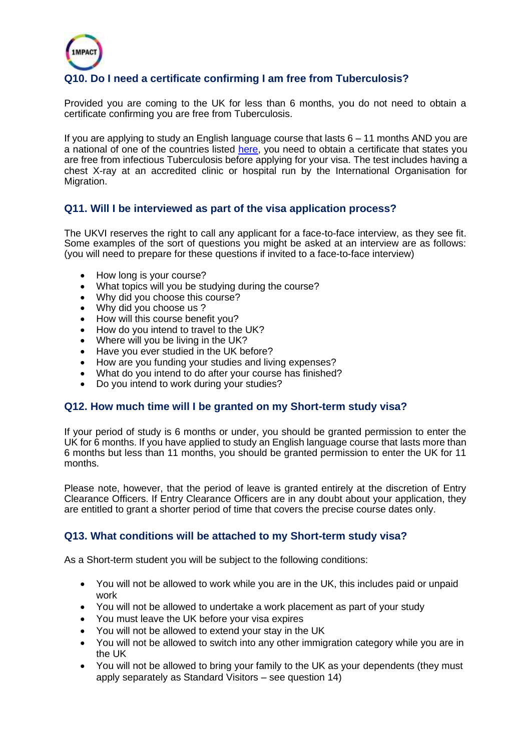

# **Q10. Do I need a certificate confirming I am free from Tuberculosis?**

Provided you are coming to the UK for less than 6 months, you do not need to obtain a certificate confirming you are free from Tuberculosis.

If you are applying to study an English language course that lasts 6 – 11 months AND you are a national of one of the countries listed [here,](https://www.gov.uk/tb-test-visa) you need to obtain a certificate that states you are free from infectious Tuberculosis before applying for your visa. The test includes having a chest X-ray at an accredited clinic or hospital run by the International Organisation for Migration.

## **Q11. Will I be interviewed as part of the visa application process?**

The UKVI reserves the right to call any applicant for a face-to-face interview, as they see fit. Some examples of the sort of questions you might be asked at an interview are as follows: (you will need to prepare for these questions if invited to a face-to-face interview)

- How long is your course?
- What topics will you be studying during the course?
- Why did you choose this course?
- Why did you choose us?
- How will this course benefit you?
- How do you intend to travel to the UK?
- Where will you be living in the UK?
- Have you ever studied in the UK before?
- How are you funding your studies and living expenses?
- What do you intend to do after your course has finished?
- Do you intend to work during your studies?

#### **Q12. How much time will I be granted on my Short-term study visa?**

If your period of study is 6 months or under, you should be granted permission to enter the UK for 6 months. If you have applied to study an English language course that lasts more than 6 months but less than 11 months, you should be granted permission to enter the UK for 11 months.

Please note, however, that the period of leave is granted entirely at the discretion of Entry Clearance Officers. If Entry Clearance Officers are in any doubt about your application, they are entitled to grant a shorter period of time that covers the precise course dates only.

#### **Q13. What conditions will be attached to my Short-term study visa?**

As a Short-term student you will be subject to the following conditions:

- You will not be allowed to work while you are in the UK, this includes paid or unpaid work
- You will not be allowed to undertake a work placement as part of your study
- You must leave the UK before your visa expires
- You will not be allowed to extend your stay in the UK
- You will not be allowed to switch into any other immigration category while you are in the UK
- You will not be allowed to bring your family to the UK as your dependents (they must apply separately as Standard Visitors – see question 14)